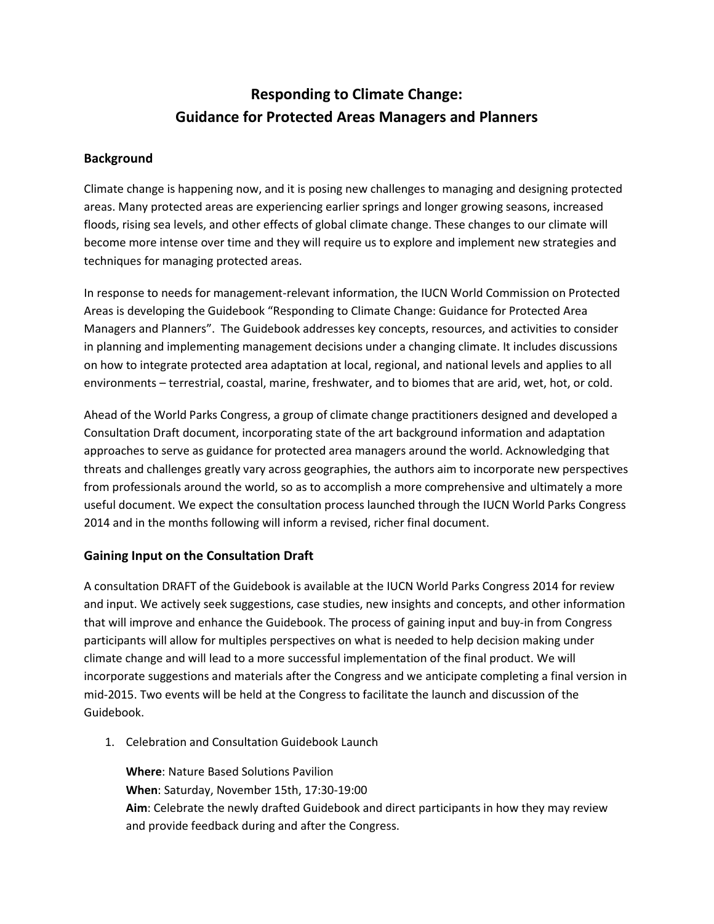## **Responding to Climate Change: Guidance for Protected Areas Managers and Planners**

## **Background**

Climate change is happening now, and it is posing new challenges to managing and designing protected areas. Many protected areas are experiencing earlier springs and longer growing seasons, increased floods, rising sea levels, and other effects of global climate change. These changes to our climate will become more intense over time and they will require us to explore and implement new strategies and techniques for managing protected areas.

In response to needs for management-relevant information, the IUCN World Commission on Protected Areas is developing the Guidebook "Responding to Climate Change: Guidance for Protected Area Managers and Planners". The Guidebook addresses key concepts, resources, and activities to consider in planning and implementing management decisions under a changing climate. It includes discussions on how to integrate protected area adaptation at local, regional, and national levels and applies to all environments – terrestrial, coastal, marine, freshwater, and to biomes that are arid, wet, hot, or cold.

Ahead of the World Parks Congress, a group of climate change practitioners designed and developed a Consultation Draft document, incorporating state of the art background information and adaptation approaches to serve as guidance for protected area managers around the world. Acknowledging that threats and challenges greatly vary across geographies, the authors aim to incorporate new perspectives from professionals around the world, so as to accomplish a more comprehensive and ultimately a more useful document. We expect the consultation process launched through the IUCN World Parks Congress 2014 and in the months following will inform a revised, richer final document.

## **Gaining Input on the Consultation Draft**

A consultation DRAFT of the Guidebook is available at the IUCN World Parks Congress 2014 for review and input. We actively seek suggestions, case studies, new insights and concepts, and other information that will improve and enhance the Guidebook. The process of gaining input and buy-in from Congress participants will allow for multiples perspectives on what is needed to help decision making under climate change and will lead to a more successful implementation of the final product. We will incorporate suggestions and materials after the Congress and we anticipate completing a final version in mid-2015. Two events will be held at the Congress to facilitate the launch and discussion of the Guidebook.

1. Celebration and Consultation Guidebook Launch

**Where**: Nature Based Solutions Pavilion **When**: Saturday, November 15th, 17:30-19:00 **Aim**: Celebrate the newly drafted Guidebook and direct participants in how they may review and provide feedback during and after the Congress.